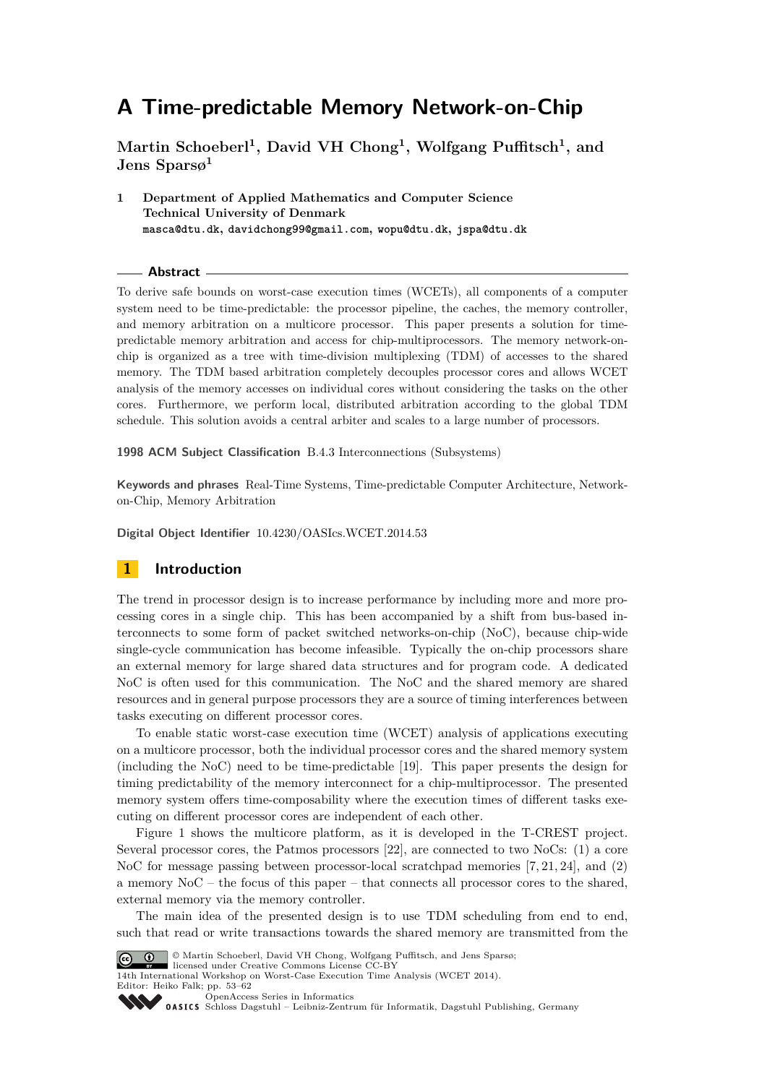**Martin Schoeberl<sup>1</sup> , David VH Chong<sup>1</sup> , Wolfgang Puffitsch<sup>1</sup> , and Jens Sparsø<sup>1</sup>**

**1 Department of Applied Mathematics and Computer Science Technical University of Denmark masca@dtu.dk, davidchong99@gmail.com, wopu@dtu.dk, jspa@dtu.dk**

#### **Abstract**

To derive safe bounds on worst-case execution times (WCETs), all components of a computer system need to be time-predictable: the processor pipeline, the caches, the memory controller, and memory arbitration on a multicore processor. This paper presents a solution for timepredictable memory arbitration and access for chip-multiprocessors. The memory network-onchip is organized as a tree with time-division multiplexing (TDM) of accesses to the shared memory. The TDM based arbitration completely decouples processor cores and allows WCET analysis of the memory accesses on individual cores without considering the tasks on the other cores. Furthermore, we perform local, distributed arbitration according to the global TDM schedule. This solution avoids a central arbiter and scales to a large number of processors.

**1998 ACM Subject Classification** B.4.3 Interconnections (Subsystems)

**Keywords and phrases** Real-Time Systems, Time-predictable Computer Architecture, Networkon-Chip, Memory Arbitration

**Digital Object Identifier** [10.4230/OASIcs.WCET.2014.53](http://dx.doi.org/10.4230/OASIcs.WCET.2014.53)

# **1 Introduction**

The trend in processor design is to increase performance by including more and more processing cores in a single chip. This has been accompanied by a shift from bus-based interconnects to some form of packet switched networks-on-chip (NoC), because chip-wide single-cycle communication has become infeasible. Typically the on-chip processors share an external memory for large shared data structures and for program code. A dedicated NoC is often used for this communication. The NoC and the shared memory are shared resources and in general purpose processors they are a source of timing interferences between tasks executing on different processor cores.

To enable static worst-case execution time (WCET) analysis of applications executing on a multicore processor, both the individual processor cores and the shared memory system (including the NoC) need to be time-predictable [\[19\]](#page-9-0). This paper presents the design for timing predictability of the memory interconnect for a chip-multiprocessor. The presented memory system offers time-composability where the execution times of different tasks executing on different processor cores are independent of each other.

Figure [1](#page-1-0) shows the multicore platform, as it is developed in the T-CREST project. Several processor cores, the Patmos processors [\[22\]](#page-9-1), are connected to two NoCs: (1) a core NoC for message passing between processor-local scratchpad memories [\[7,](#page-8-0) [21,](#page-9-2) [24\]](#page-9-3), and (2) a memory NoC – the focus of this paper – that connects all processor cores to the shared, external memory via the memory controller.

The main idea of the presented design is to use TDM scheduling from end to end, such that read or write transactions towards the shared memory are transmitted from the



© Martin Schoeberl, David VH Chong, Wolfgang Puffitsch, and Jens Sparsø;

licensed under Creative Commons License CC-BY 14th International Workshop on Worst-Case Execution Time Analysis (WCET 2014).

Editor: Heiko Falk; pp. 53[–62](#page-9-4) [OpenAccess Series in Informatics](http://www.dagstuhl.de/oasics/)

[Schloss Dagstuhl – Leibniz-Zentrum für Informatik, Dagstuhl Publishing, Germany](http://www.dagstuhl.de/)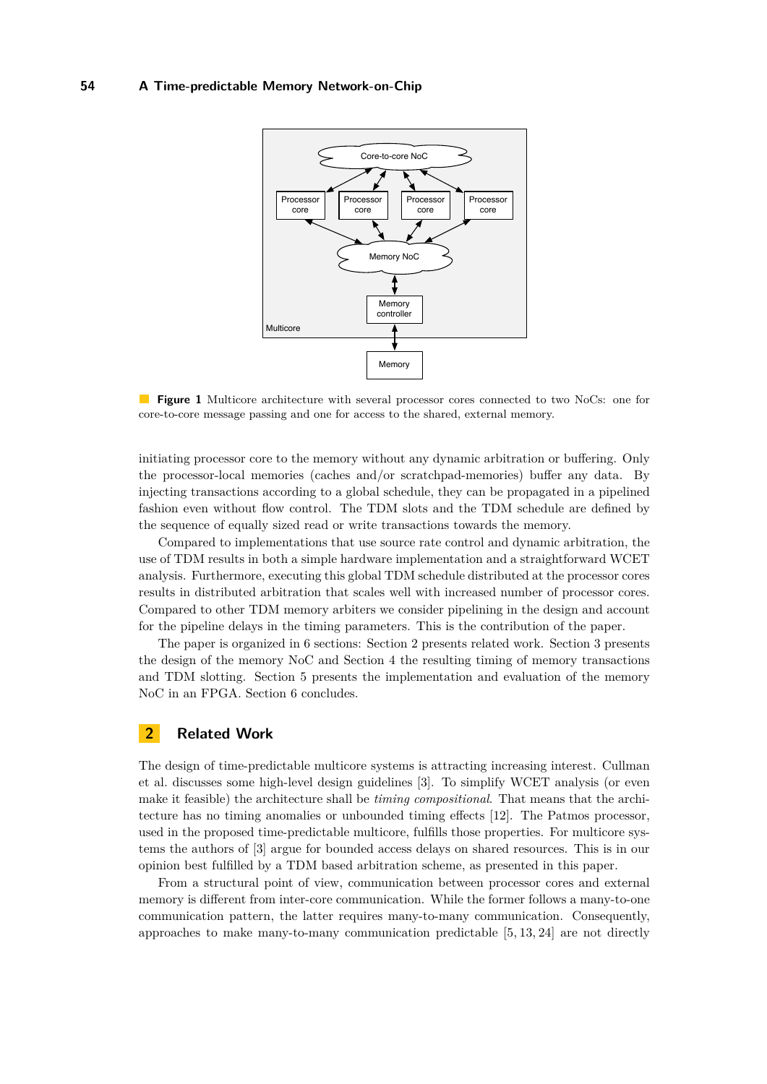<span id="page-1-0"></span>

**Figure 1** Multicore architecture with several processor cores connected to two NoCs: one for core-to-core message passing and one for access to the shared, external memory.

initiating processor core to the memory without any dynamic arbitration or buffering. Only the processor-local memories (caches and/or scratchpad-memories) buffer any data. By injecting transactions according to a global schedule, they can be propagated in a pipelined fashion even without flow control. The TDM slots and the TDM schedule are defined by the sequence of equally sized read or write transactions towards the memory.

Compared to implementations that use source rate control and dynamic arbitration, the use of TDM results in both a simple hardware implementation and a straightforward WCET analysis. Furthermore, executing this global TDM schedule distributed at the processor cores results in distributed arbitration that scales well with increased number of processor cores. Compared to other TDM memory arbiters we consider pipelining in the design and account for the pipeline delays in the timing parameters. This is the contribution of the paper.

The paper is organized in 6 sections: Section [2](#page-1-1) presents related work. Section [3](#page-2-0) presents the design of the memory NoC and Section [4](#page-4-0) the resulting timing of memory transactions and TDM slotting. Section [5](#page-6-0) presents the implementation and evaluation of the memory NoC in an FPGA. Section [6](#page-7-0) concludes.

# <span id="page-1-1"></span>**2 Related Work**

The design of time-predictable multicore systems is attracting increasing interest. Cullman et al. discusses some high-level design guidelines [\[3\]](#page-8-1). To simplify WCET analysis (or even make it feasible) the architecture shall be *timing compositional*. That means that the architecture has no timing anomalies or unbounded timing effects [\[12\]](#page-9-5). The Patmos processor, used in the proposed time-predictable multicore, fulfills those properties. For multicore systems the authors of [\[3\]](#page-8-1) argue for bounded access delays on shared resources. This is in our opinion best fulfilled by a TDM based arbitration scheme, as presented in this paper.

From a structural point of view, communication between processor cores and external memory is different from inter-core communication. While the former follows a many-to-one communication pattern, the latter requires many-to-many communication. Consequently, approaches to make many-to-many communication predictable [\[5,](#page-8-2) [13,](#page-9-6) [24\]](#page-9-3) are not directly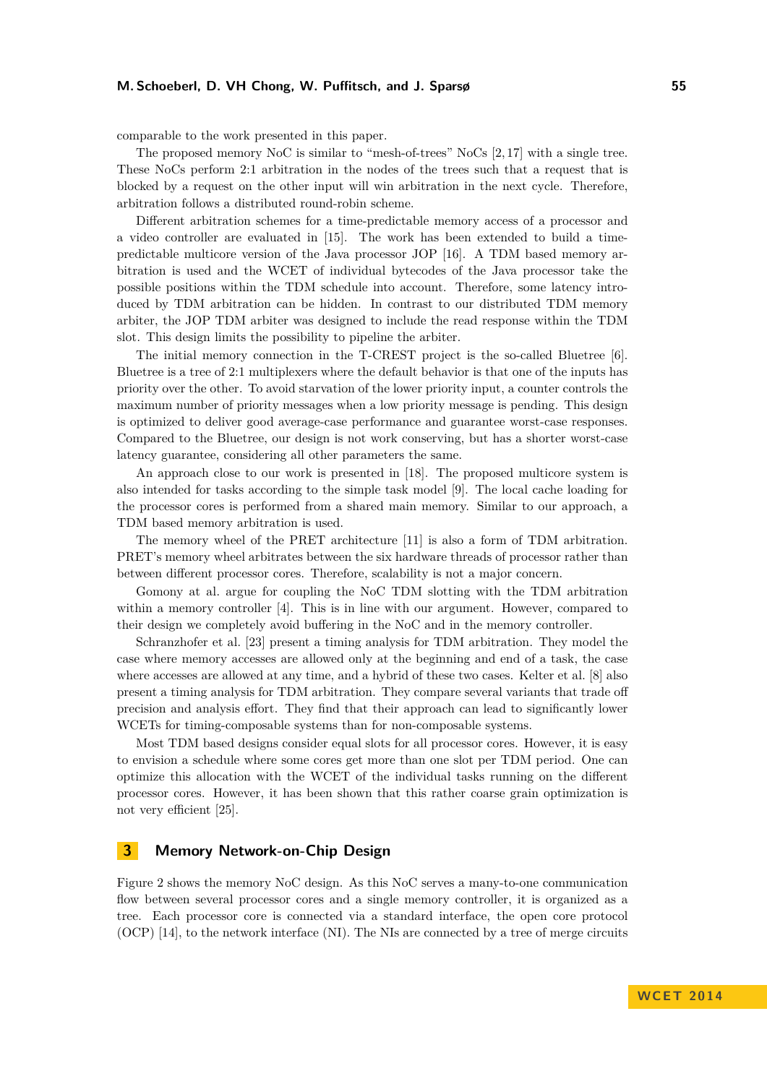#### **M. Schoeberl, D. VH Chong, W. Puffitsch, and J. Sparsø 55**

comparable to the work presented in this paper.

The proposed memory NoC is similar to "mesh-of-trees" NoCs [\[2,](#page-8-3) [17\]](#page-9-7) with a single tree. These NoCs perform 2:1 arbitration in the nodes of the trees such that a request that is blocked by a request on the other input will win arbitration in the next cycle. Therefore, arbitration follows a distributed round-robin scheme.

Different arbitration schemes for a time-predictable memory access of a processor and a video controller are evaluated in [\[15\]](#page-9-8). The work has been extended to build a timepredictable multicore version of the Java processor JOP [\[16\]](#page-9-9). A TDM based memory arbitration is used and the WCET of individual bytecodes of the Java processor take the possible positions within the TDM schedule into account. Therefore, some latency introduced by TDM arbitration can be hidden. In contrast to our distributed TDM memory arbiter, the JOP TDM arbiter was designed to include the read response within the TDM slot. This design limits the possibility to pipeline the arbiter.

The initial memory connection in the T-CREST project is the so-called Bluetree [\[6\]](#page-8-4). Bluetree is a tree of 2:1 multiplexers where the default behavior is that one of the inputs has priority over the other. To avoid starvation of the lower priority input, a counter controls the maximum number of priority messages when a low priority message is pending. This design is optimized to deliver good average-case performance and guarantee worst-case responses. Compared to the Bluetree, our design is not work conserving, but has a shorter worst-case latency guarantee, considering all other parameters the same.

An approach close to our work is presented in [\[18\]](#page-9-10). The proposed multicore system is also intended for tasks according to the simple task model [\[9\]](#page-9-11). The local cache loading for the processor cores is performed from a shared main memory. Similar to our approach, a TDM based memory arbitration is used.

The memory wheel of the PRET architecture [\[11\]](#page-9-12) is also a form of TDM arbitration. PRET's memory wheel arbitrates between the six hardware threads of processor rather than between different processor cores. Therefore, scalability is not a major concern.

Gomony at al. argue for coupling the NoC TDM slotting with the TDM arbitration within a memory controller [\[4\]](#page-8-5). This is in line with our argument. However, compared to their design we completely avoid buffering in the NoC and in the memory controller.

Schranzhofer et al. [\[23\]](#page-9-13) present a timing analysis for TDM arbitration. They model the case where memory accesses are allowed only at the beginning and end of a task, the case where accesses are allowed at any time, and a hybrid of these two cases. Kelter et al. [\[8\]](#page-8-6) also present a timing analysis for TDM arbitration. They compare several variants that trade off precision and analysis effort. They find that their approach can lead to significantly lower WCETs for timing-composable systems than for non-composable systems.

Most TDM based designs consider equal slots for all processor cores. However, it is easy to envision a schedule where some cores get more than one slot per TDM period. One can optimize this allocation with the WCET of the individual tasks running on the different processor cores. However, it has been shown that this rather coarse grain optimization is not very efficient [\[25\]](#page-9-14).

## <span id="page-2-0"></span>**3 Memory Network-on-Chip Design**

Figure [2](#page-3-0) shows the memory NoC design. As this NoC serves a many-to-one communication flow between several processor cores and a single memory controller, it is organized as a tree. Each processor core is connected via a standard interface, the open core protocol (OCP) [\[14\]](#page-9-15), to the network interface (NI). The NIs are connected by a tree of merge circuits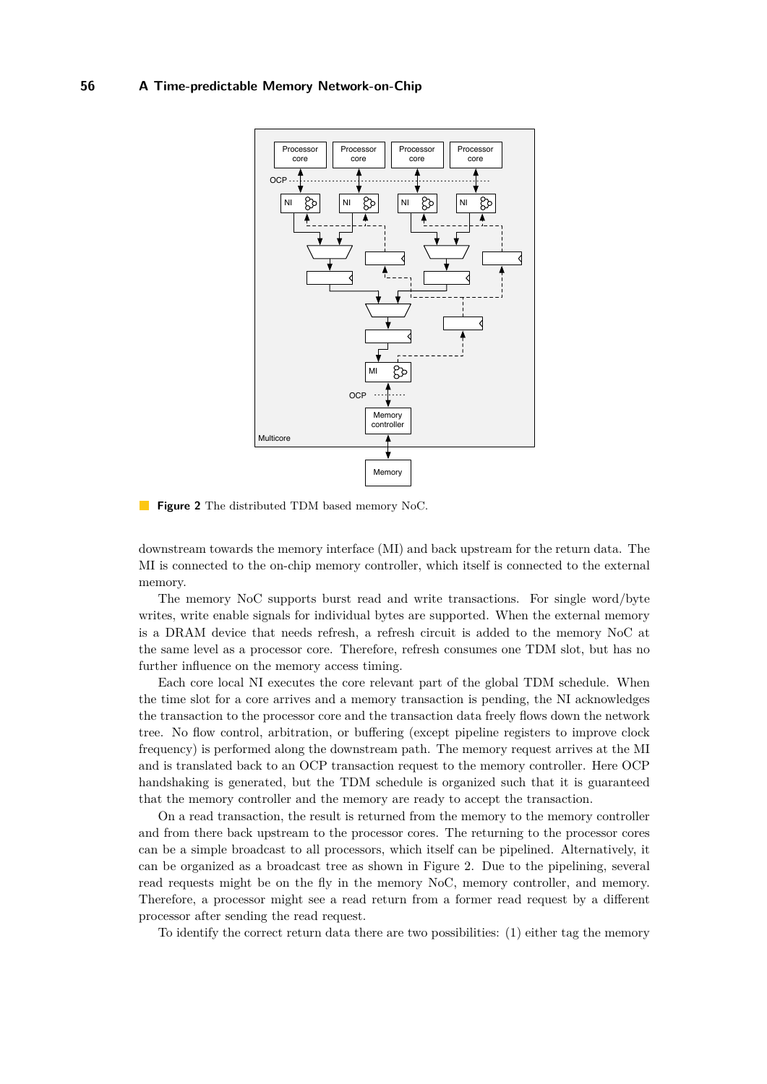<span id="page-3-0"></span>

**Figure 2** The distributed TDM based memory NoC.

downstream towards the memory interface (MI) and back upstream for the return data. The MI is connected to the on-chip memory controller, which itself is connected to the external memory.

The memory NoC supports burst read and write transactions. For single word/byte writes, write enable signals for individual bytes are supported. When the external memory is a DRAM device that needs refresh, a refresh circuit is added to the memory NoC at the same level as a processor core. Therefore, refresh consumes one TDM slot, but has no further influence on the memory access timing.

Each core local NI executes the core relevant part of the global TDM schedule. When the time slot for a core arrives and a memory transaction is pending, the NI acknowledges the transaction to the processor core and the transaction data freely flows down the network tree. No flow control, arbitration, or buffering (except pipeline registers to improve clock frequency) is performed along the downstream path. The memory request arrives at the MI and is translated back to an OCP transaction request to the memory controller. Here OCP handshaking is generated, but the TDM schedule is organized such that it is guaranteed that the memory controller and the memory are ready to accept the transaction.

On a read transaction, the result is returned from the memory to the memory controller and from there back upstream to the processor cores. The returning to the processor cores can be a simple broadcast to all processors, which itself can be pipelined. Alternatively, it can be organized as a broadcast tree as shown in Figure [2.](#page-3-0) Due to the pipelining, several read requests might be on the fly in the memory NoC, memory controller, and memory. Therefore, a processor might see a read return from a former read request by a different processor after sending the read request.

To identify the correct return data there are two possibilities: (1) either tag the memory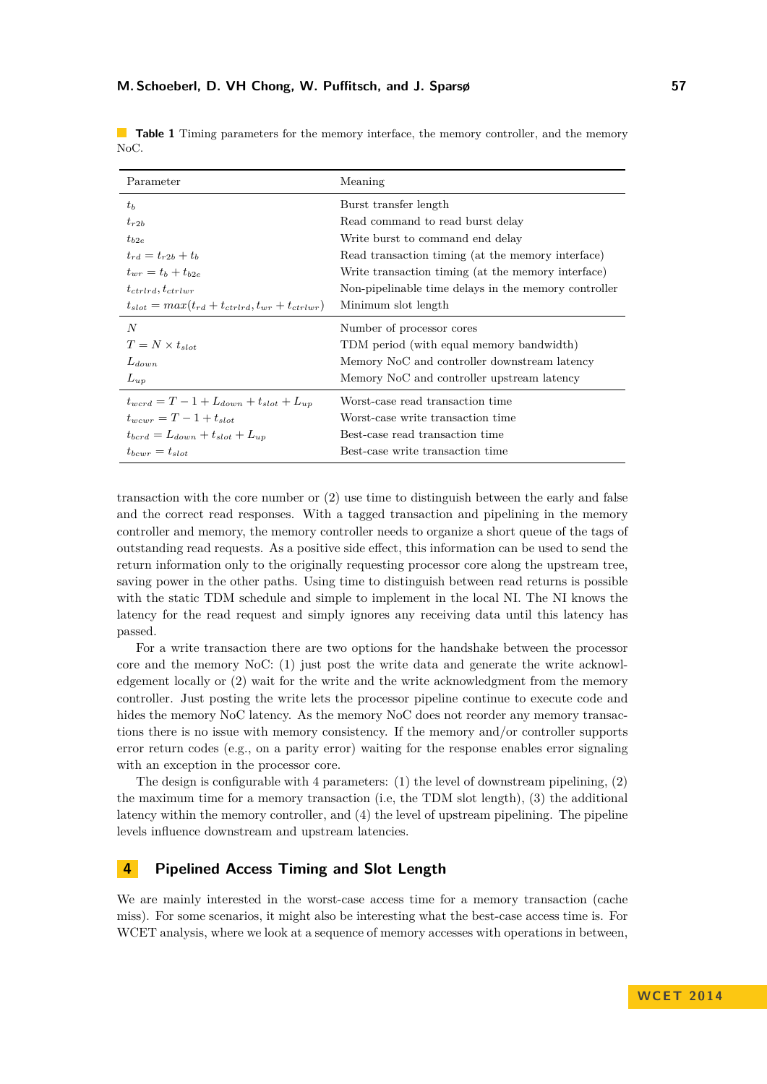| Parameter                                                  | Meaning                                              |
|------------------------------------------------------------|------------------------------------------------------|
| $t_{b}$                                                    | Burst transfer length                                |
| $t_{r2b}$                                                  | Read command to read burst delay                     |
| $t_{b2e}$                                                  | Write burst to command end delay                     |
| $t_{rd} = t_{r2b} + t_b$                                   | Read transaction timing (at the memory interface)    |
| $t_{wr} = t_b + t_{b2e}$                                   | Write transaction timing (at the memory interface)   |
| $t_{ctrlrd}, t_{ctrlwr}$                                   | Non-pipelinable time delays in the memory controller |
| $t_{slot} = max(t_{rd} + t_{ctrlrd}, t_{wr} + t_{ctrlwr})$ | Minimum slot length                                  |
| N                                                          | Number of processor cores                            |
| $T = N \times t_{slot}$                                    | TDM period (with equal memory bandwidth)             |
| $L_{down}$                                                 | Memory NoC and controller downstream latency         |
| $L_{up}$                                                   | Memory NoC and controller upstream latency           |
| $t_{word} = T - 1 + L_{down} + t_{slot} + L_{up}$          | Worst-case read transaction time                     |
| $t_{\text{uncurr}} = T - 1 + t_{\text{slot}}$              | Worst-case write transaction time                    |
| $t_{bcrd} = L_{down} + t_{slot} + L_{un}$                  | Best-case read transaction time                      |
| $t_{bcwr} = t_{slot}$                                      | Best-case write transaction time                     |

<span id="page-4-1"></span>**Table 1** Timing parameters for the memory interface, the memory controller, and the memory NoC.

transaction with the core number or (2) use time to distinguish between the early and false and the correct read responses. With a tagged transaction and pipelining in the memory controller and memory, the memory controller needs to organize a short queue of the tags of outstanding read requests. As a positive side effect, this information can be used to send the return information only to the originally requesting processor core along the upstream tree, saving power in the other paths. Using time to distinguish between read returns is possible with the static TDM schedule and simple to implement in the local NI. The NI knows the latency for the read request and simply ignores any receiving data until this latency has passed.

For a write transaction there are two options for the handshake between the processor core and the memory NoC: (1) just post the write data and generate the write acknowledgement locally or (2) wait for the write and the write acknowledgment from the memory controller. Just posting the write lets the processor pipeline continue to execute code and hides the memory NoC latency. As the memory NoC does not reorder any memory transactions there is no issue with memory consistency. If the memory and/or controller supports error return codes (e.g., on a parity error) waiting for the response enables error signaling with an exception in the processor core.

The design is configurable with 4 parameters: (1) the level of downstream pipelining, (2) the maximum time for a memory transaction (i.e, the TDM slot length), (3) the additional latency within the memory controller, and (4) the level of upstream pipelining. The pipeline levels influence downstream and upstream latencies.

# <span id="page-4-0"></span>**4 Pipelined Access Timing and Slot Length**

We are mainly interested in the worst-case access time for a memory transaction (cache miss). For some scenarios, it might also be interesting what the best-case access time is. For WCET analysis, where we look at a sequence of memory accesses with operations in between,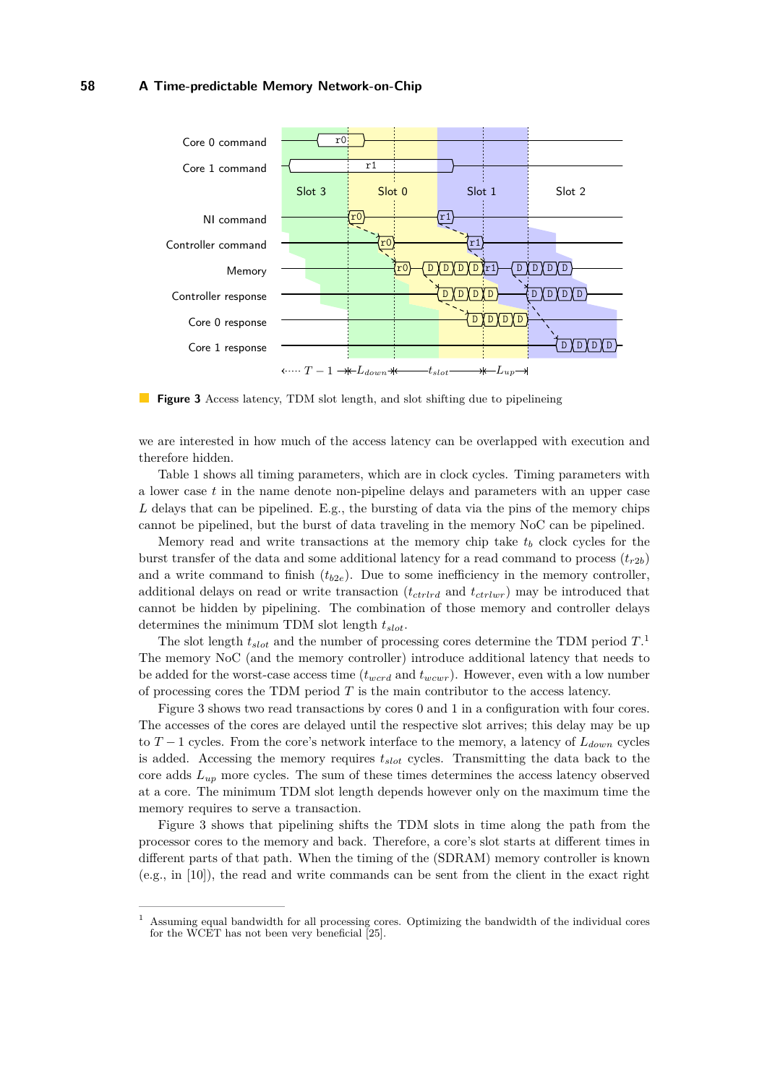<span id="page-5-1"></span>

**Figure 3** Access latency, TDM slot length, and slot shifting due to pipelineing

we are interested in how much of the access latency can be overlapped with execution and therefore hidden.

Table [1](#page-4-1) shows all timing parameters, which are in clock cycles. Timing parameters with a lower case *t* in the name denote non-pipeline delays and parameters with an upper case L delays that can be pipelined. E.g., the bursting of data via the pins of the memory chips cannot be pipelined, but the burst of data traveling in the memory NoC can be pipelined.

Memory read and write transactions at the memory chip take  $t<sub>b</sub>$  clock cycles for the burst transfer of the data and some additional latency for a read command to process  $(t_{r2b})$ and a write command to finish  $(t_{b2e})$ . Due to some inefficiency in the memory controller, additional delays on read or write transaction (*tctrlrd* and *tctrlwr*) may be introduced that cannot be hidden by pipelining. The combination of those memory and controller delays determines the minimum TDM slot length *tslot*.

The slot length *tslot* and the number of processing cores determine the TDM period *T*. [1](#page-5-0) The memory NoC (and the memory controller) introduce additional latency that needs to be added for the worst-case access time (*twcrd* and *twcwr*). However, even with a low number of processing cores the TDM period *T* is the main contributor to the access latency.

Figure [3](#page-5-1) shows two read transactions by cores 0 and 1 in a configuration with four cores. The accesses of the cores are delayed until the respective slot arrives; this delay may be up to *T* − 1 cycles. From the core's network interface to the memory, a latency of *Ldown* cycles is added. Accessing the memory requires *tslot* cycles. Transmitting the data back to the core adds *Lup* more cycles. The sum of these times determines the access latency observed at a core. The minimum TDM slot length depends however only on the maximum time the memory requires to serve a transaction.

Figure [3](#page-5-1) shows that pipelining shifts the TDM slots in time along the path from the processor cores to the memory and back. Therefore, a core's slot starts at different times in different parts of that path. When the timing of the (SDRAM) memory controller is known (e.g., in [\[10\]](#page-9-16)), the read and write commands can be sent from the client in the exact right

<span id="page-5-0"></span> $1$  Assuming equal bandwidth for all processing cores. Optimizing the bandwidth of the individual cores for the WCET has not been very beneficial [\[25\]](#page-9-14).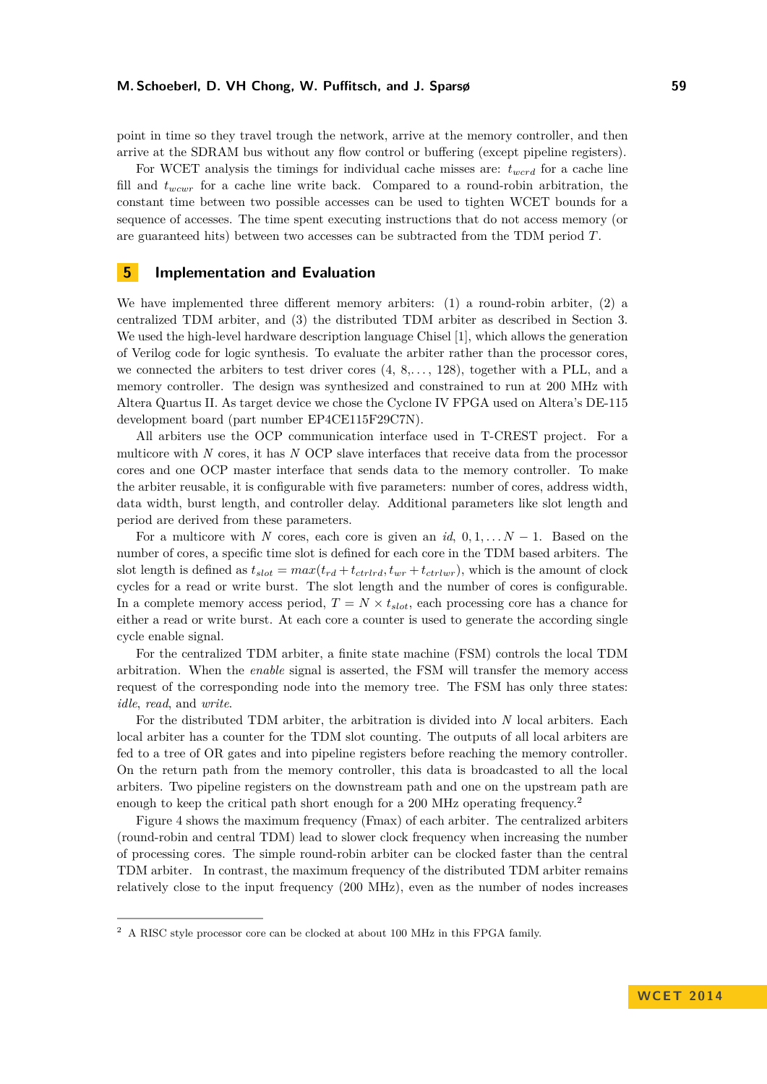point in time so they travel trough the network, arrive at the memory controller, and then arrive at the SDRAM bus without any flow control or buffering (except pipeline registers).

For WCET analysis the timings for individual cache misses are: *twcrd* for a cache line fill and *twcwr* for a cache line write back. Compared to a round-robin arbitration, the constant time between two possible accesses can be used to tighten WCET bounds for a sequence of accesses. The time spent executing instructions that do not access memory (or are guaranteed hits) between two accesses can be subtracted from the TDM period *T*.

## <span id="page-6-0"></span>**5 Implementation and Evaluation**

We have implemented three different memory arbiters:  $(1)$  a round-robin arbiter,  $(2)$  a centralized TDM arbiter, and (3) the distributed TDM arbiter as described in Section [3.](#page-2-0) We used the high-level hardware description language Chisel [\[1\]](#page-8-7), which allows the generation of Verilog code for logic synthesis. To evaluate the arbiter rather than the processor cores, we connected the arbiters to test driver cores (4, 8,*. . .* , 128), together with a PLL, and a memory controller. The design was synthesized and constrained to run at 200 MHz with Altera Quartus II. As target device we chose the Cyclone IV FPGA used on Altera's DE-115 development board (part number EP4CE115F29C7N).

All arbiters use the OCP communication interface used in T-CREST project. For a multicore with *N* cores, it has *N* OCP slave interfaces that receive data from the processor cores and one OCP master interface that sends data to the memory controller. To make the arbiter reusable, it is configurable with five parameters: number of cores, address width, data width, burst length, and controller delay. Additional parameters like slot length and period are derived from these parameters.

For a multicore with *N* cores, each core is given an  $id$ ,  $0, 1, \ldots N-1$ . Based on the number of cores, a specific time slot is defined for each core in the TDM based arbiters. The slot length is defined as  $t_{slot} = max(t_{rd} + t_{ctrlrd}, t_{wr} + t_{ctrlwr})$ , which is the amount of clock cycles for a read or write burst. The slot length and the number of cores is configurable. In a complete memory access period,  $T = N \times t_{slot}$ , each processing core has a chance for either a read or write burst. At each core a counter is used to generate the according single cycle enable signal.

For the centralized TDM arbiter, a finite state machine (FSM) controls the local TDM arbitration. When the *enable* signal is asserted, the FSM will transfer the memory access request of the corresponding node into the memory tree. The FSM has only three states: *idle*, *read*, and *write*.

For the distributed TDM arbiter, the arbitration is divided into *N* local arbiters. Each local arbiter has a counter for the TDM slot counting. The outputs of all local arbiters are fed to a tree of OR gates and into pipeline registers before reaching the memory controller. On the return path from the memory controller, this data is broadcasted to all the local arbiters. Two pipeline registers on the downstream path and one on the upstream path are enough to keep the critical path short enough for a [2](#page-6-1)00 MHz operating frequency.<sup>2</sup>

Figure [4](#page-7-1) shows the maximum frequency (Fmax) of each arbiter. The centralized arbiters (round-robin and central TDM) lead to slower clock frequency when increasing the number of processing cores. The simple round-robin arbiter can be clocked faster than the central TDM arbiter. In contrast, the maximum frequency of the distributed TDM arbiter remains relatively close to the input frequency (200 MHz), even as the number of nodes increases

<span id="page-6-1"></span> $^2\,$  A RISC style processor core can be clocked at about 100 MHz in this FPGA family.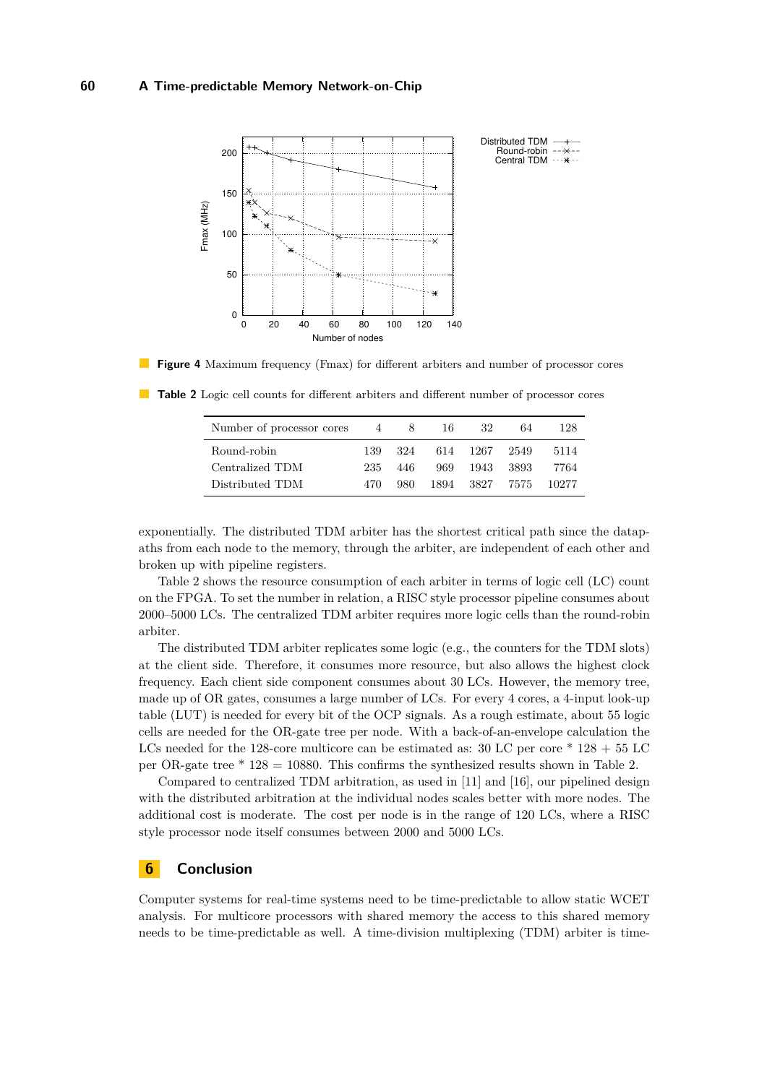<span id="page-7-1"></span>



| Number of processor cores | $\overline{4}$ | 8.   | 16. | 32            | 64   | 128   |
|---------------------------|----------------|------|-----|---------------|------|-------|
| Round-robin               | 139.           | 324  |     | 614 1267 2549 |      | 5114  |
| Centralized TDM           | 235.           | 446  |     | 969 1943      | 3893 | 7764  |
| Distributed TDM           | 470.           | 980. |     | 1894 3827     | 7575 | 10277 |

<span id="page-7-2"></span>**Table 2** Logic cell counts for different arbiters and different number of processor cores

exponentially. The distributed TDM arbiter has the shortest critical path since the datapaths from each node to the memory, through the arbiter, are independent of each other and broken up with pipeline registers.

Table [2](#page-7-2) shows the resource consumption of each arbiter in terms of logic cell (LC) count on the FPGA. To set the number in relation, a RISC style processor pipeline consumes about 2000–5000 LCs. The centralized TDM arbiter requires more logic cells than the round-robin arbiter.

The distributed TDM arbiter replicates some logic (e.g., the counters for the TDM slots) at the client side. Therefore, it consumes more resource, but also allows the highest clock frequency. Each client side component consumes about 30 LCs. However, the memory tree, made up of OR gates, consumes a large number of LCs. For every 4 cores, a 4-input look-up table (LUT) is needed for every bit of the OCP signals. As a rough estimate, about 55 logic cells are needed for the OR-gate tree per node. With a back-of-an-envelope calculation the LCs needed for the 128-core multicore can be estimated as:  $30$  LC per core  $*$  128  $+$  55 LC per OR-gate tree \* 128 = 10880. This confirms the synthesized results shown in Table [2.](#page-7-2)

Compared to centralized TDM arbitration, as used in [\[11\]](#page-9-12) and [\[16\]](#page-9-9), our pipelined design with the distributed arbitration at the individual nodes scales better with more nodes. The additional cost is moderate. The cost per node is in the range of 120 LCs, where a RISC style processor node itself consumes between 2000 and 5000 LCs.

# <span id="page-7-0"></span>**6 Conclusion**

Computer systems for real-time systems need to be time-predictable to allow static WCET analysis. For multicore processors with shared memory the access to this shared memory needs to be time-predictable as well. A time-division multiplexing (TDM) arbiter is time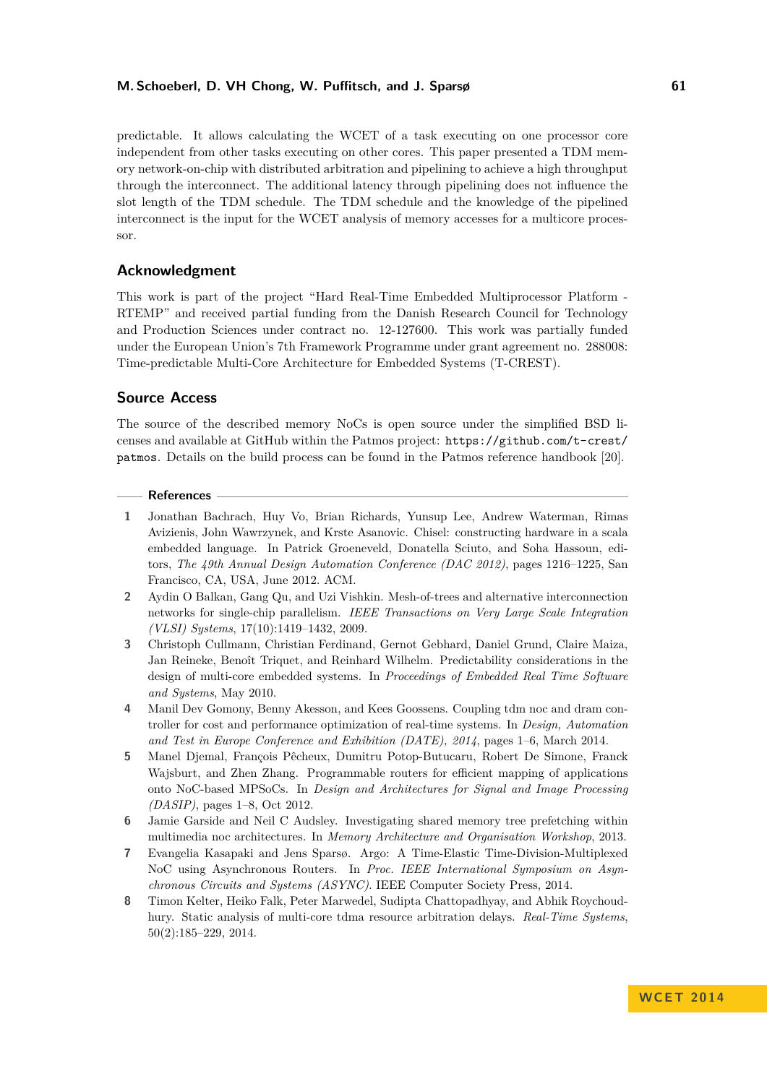predictable. It allows calculating the WCET of a task executing on one processor core independent from other tasks executing on other cores. This paper presented a TDM memory network-on-chip with distributed arbitration and pipelining to achieve a high throughput through the interconnect. The additional latency through pipelining does not influence the slot length of the TDM schedule. The TDM schedule and the knowledge of the pipelined interconnect is the input for the WCET analysis of memory accesses for a multicore processor.

## **Acknowledgment**

This work is part of the project "Hard Real-Time Embedded Multiprocessor Platform - RTEMP" and received partial funding from the Danish Research Council for Technology and Production Sciences under contract no. 12-127600. This work was partially funded under the European Union's 7th Framework Programme under grant agreement no. 288008: Time-predictable Multi-Core Architecture for Embedded Systems (T-CREST).

## **Source Access**

The source of the described memory NoCs is open source under the simplified BSD licenses and available at GitHub within the Patmos project: [https://github.com/t-crest/](https://github.com/t-crest/patmos) [patmos](https://github.com/t-crest/patmos). Details on the build process can be found in the Patmos reference handbook [\[20\]](#page-9-17).

#### **References**

- <span id="page-8-7"></span>**1** Jonathan Bachrach, Huy Vo, Brian Richards, Yunsup Lee, Andrew Waterman, Rimas Avizienis, John Wawrzynek, and Krste Asanovic. Chisel: constructing hardware in a scala embedded language. In Patrick Groeneveld, Donatella Sciuto, and Soha Hassoun, editors, *The 49th Annual Design Automation Conference (DAC 2012)*, pages 1216–1225, San Francisco, CA, USA, June 2012. ACM.
- <span id="page-8-3"></span>**2** Aydin O Balkan, Gang Qu, and Uzi Vishkin. Mesh-of-trees and alternative interconnection networks for single-chip parallelism. *IEEE Transactions on Very Large Scale Integration (VLSI) Systems*, 17(10):1419–1432, 2009.
- <span id="page-8-1"></span>**3** Christoph Cullmann, Christian Ferdinand, Gernot Gebhard, Daniel Grund, Claire Maiza, Jan Reineke, Benoît Triquet, and Reinhard Wilhelm. Predictability considerations in the design of multi-core embedded systems. In *Proceedings of Embedded Real Time Software and Systems*, May 2010.
- <span id="page-8-5"></span>**4** Manil Dev Gomony, Benny Akesson, and Kees Goossens. Coupling tdm noc and dram controller for cost and performance optimization of real-time systems. In *Design, Automation and Test in Europe Conference and Exhibition (DATE), 2014*, pages 1–6, March 2014.
- <span id="page-8-2"></span>**5** Manel Djemal, François Pêcheux, Dumitru Potop-Butucaru, Robert De Simone, Franck Wajsburt, and Zhen Zhang. Programmable routers for efficient mapping of applications onto NoC-based MPSoCs. In *Design and Architectures for Signal and Image Processing (DASIP)*, pages 1–8, Oct 2012.
- <span id="page-8-4"></span>**6** Jamie Garside and Neil C Audsley. Investigating shared memory tree prefetching within multimedia noc architectures. In *Memory Architecture and Organisation Workshop*, 2013.
- <span id="page-8-0"></span>**7** Evangelia Kasapaki and Jens Sparsø. Argo: A Time-Elastic Time-Division-Multiplexed NoC using Asynchronous Routers. In *Proc. IEEE International Symposium on Asynchronous Circuits and Systems (ASYNC)*. IEEE Computer Society Press, 2014.
- <span id="page-8-6"></span>**8** Timon Kelter, Heiko Falk, Peter Marwedel, Sudipta Chattopadhyay, and Abhik Roychoudhury. Static analysis of multi-core tdma resource arbitration delays. *Real-Time Systems*, 50(2):185–229, 2014.